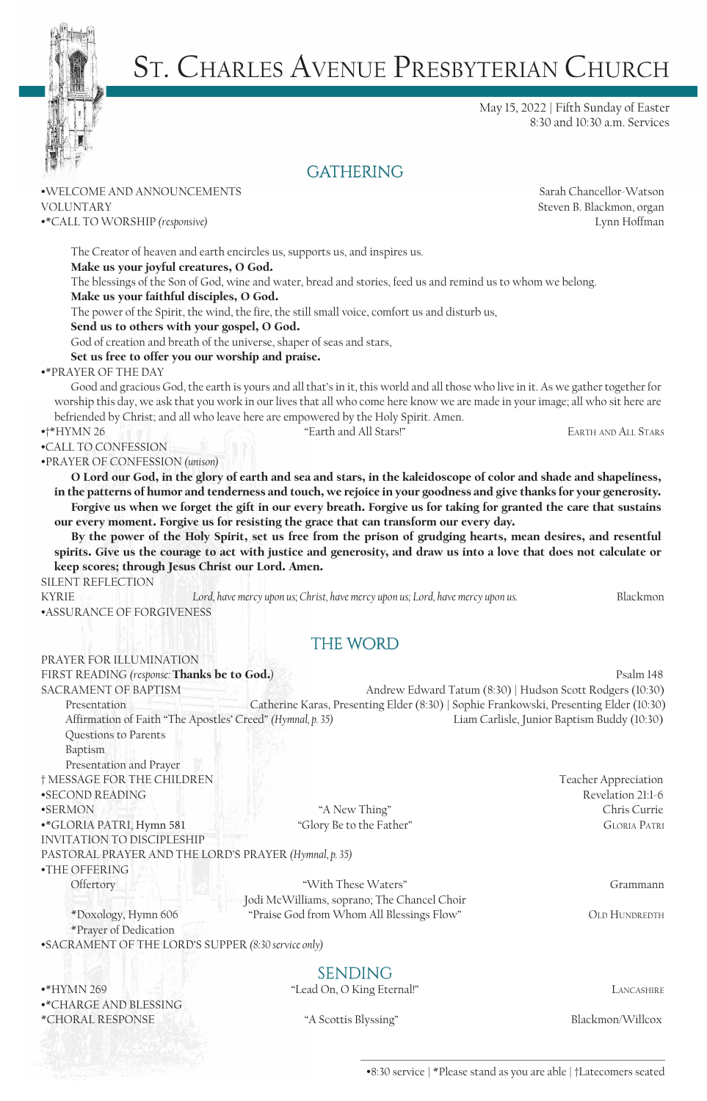

# St. Charles Avenue Presbyterian Church

May 15, 2022 | Fifth Sunday of Easter 8:30 and 10:30 a.m. Services

## **GATHERING**

### •WELCOME AND ANNOUNCEMENTS Sarah Chancellor-Watson VOLUNTARY Steven B. Blackmon, organ

•\*CALL TO WORSHIP *(responsive)* Lynn Hoffman

Make us your joyful creatures, O God. The blessings of the Son of God, wine and water, bread and stories, feed us and remind us to whom we belong. Make us your faithful disciples, O God.

The power of the Spirit, the wind, the fire, the still small voice, comfort us and disturb us,

#### Send us to others with your gospel, O God.

God of creation and breath of the universe, shaper of seas and stars,

The Creator of heaven and earth encircles us, supports us, and inspires us.

#### Set us free to offer you our worship and praise.

#### •\*PRAYER OF THE DAY

Good and gracious God, the earth is yours and all that's in it, this world and all those who live in it. As we gather together for worship this day, we ask that you work in our lives that all who come here know we are made in your image; all who sit here are befriended by Christ; and all who leave here are empowered by the Holy Spirit. Amen.

•CALL TO CONFESSION

•PRAYER OF CONFESSION *(unison)*

O Lord our God, in the glory of earth and sea and stars, in the kaleidoscope of color and shade and shapeliness, in the patterns of humor and tenderness and touch, we rejoice in your goodness and give thanks for your generosity. Forgive us when we forget the gift in our every breath. Forgive us for taking for granted the care that sustains our every moment. Forgive us for resisting the grace that can transform our every day.

By the power of the Holy Spirit, set us free from the prison of grudging hearts, mean desires, and resentful spirits. Give us the courage to act with justice and generosity, and draw us into a love that does not calculate or keep scores; through Jesus Christ our Lord. Amen.

SILENT REFLECTION

PRAYER FOR ILLUMINATION

KYRIE **Lord, have mercy upon us; Christ, have mercy upon us; Lord, have mercy upon us.** Blackmon •ASSURANCE OF FORGIVENESS

## THE WORD

FIRST READING *(response:* **Thanks be to God.)** *Psalm 148* SACRAMENT OF BAPTISM Andrew Edward Tatum (8:30) | Hudson Scott Rodgers (10:30) Presentation Catherine Karas, Presenting Elder (8:30) | Sophie Frankowski, Presenting Elder (10:30) Affirmation of Faith "The Apostles' Creed" *(Hymnal, p. 35)* Liam Carlisle, Junior Baptism Buddy (10:30) Questions to Parents

Baptism Presentation and Prayer † MESSAGE FOR THE CHILDREN Teacher Appreciation •SECOND READING Revelation 21:1-6 •SERMON Thing" Chris Currie •\*GLORIA PATRI, Hymn 581 "Glory Be to the Father" Gloria Patri INVITATION TO DISCIPLESHIP

Offertory **The Community of the Community of the Community of the Community of the Community of the Community of the Community of the Community of the Community of the Community of the Community of the Community of the Com** Jodi McWilliams, soprano; The Chancel Choir

\*Doxology, Hymn 606 "Praise God from Whom All Blessings Flow" OLD HUNDREDTH \*Prayer of Dedication •SACRAMENT OF THE LORD'S SUPPER *(8:30 service only)*

PASTORAL PRAYER AND THE LORD'S PRAYER *(Hymnal, p. 35)*

•\*HYMN 269 News Section 2008 News According to the "Lead On, O King Eternal!" LANCASHIRE •\*CHARGE AND BLESSING \*CHORAL RESPONSE "A Scottis Blyssing" Blackmon/Willcox

•THE OFFERING

sending

•8:30 service | \*Please stand as you are able | †Latecomers seated

•†\*HYMN 26 "Earth and All Stars!" Earth and All Stars